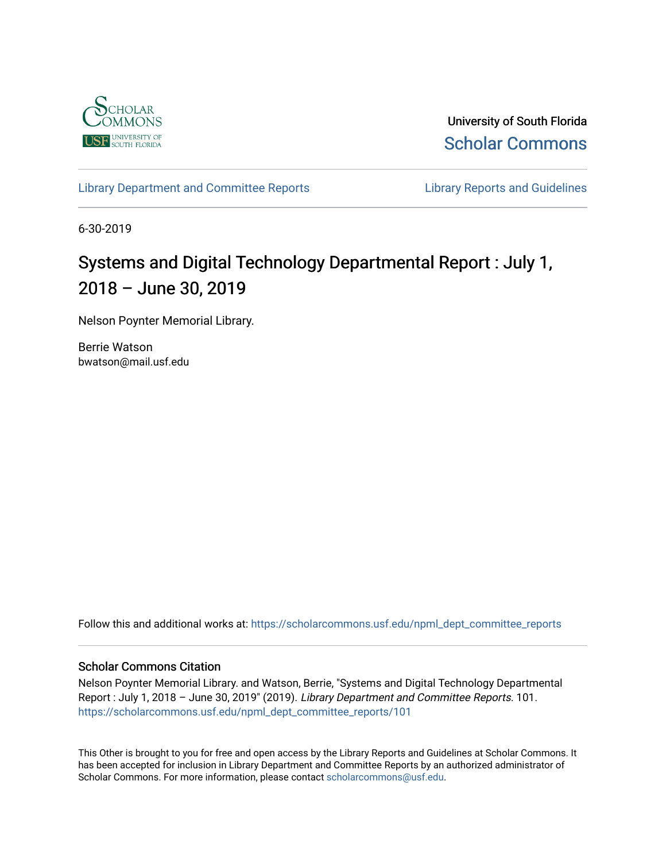

University of South Florida [Scholar Commons](https://scholarcommons.usf.edu/) 

[Library Department and Committee Reports](https://scholarcommons.usf.edu/npml_dept_committee_reports) **Library Reports and Guidelines** 

6-30-2019

## Systems and Digital Technology Departmental Report : July 1, 2018 – June 30, 2019

Nelson Poynter Memorial Library.

Berrie Watson bwatson@mail.usf.edu

Follow this and additional works at: [https://scholarcommons.usf.edu/npml\\_dept\\_committee\\_reports](https://scholarcommons.usf.edu/npml_dept_committee_reports?utm_source=scholarcommons.usf.edu%2Fnpml_dept_committee_reports%2F101&utm_medium=PDF&utm_campaign=PDFCoverPages)

## Scholar Commons Citation

Nelson Poynter Memorial Library. and Watson, Berrie, "Systems and Digital Technology Departmental Report : July 1, 2018 – June 30, 2019" (2019). Library Department and Committee Reports. 101. [https://scholarcommons.usf.edu/npml\\_dept\\_committee\\_reports/101](https://scholarcommons.usf.edu/npml_dept_committee_reports/101?utm_source=scholarcommons.usf.edu%2Fnpml_dept_committee_reports%2F101&utm_medium=PDF&utm_campaign=PDFCoverPages) 

This Other is brought to you for free and open access by the Library Reports and Guidelines at Scholar Commons. It has been accepted for inclusion in Library Department and Committee Reports by an authorized administrator of Scholar Commons. For more information, please contact [scholarcommons@usf.edu](mailto:scholarcommons@usf.edu).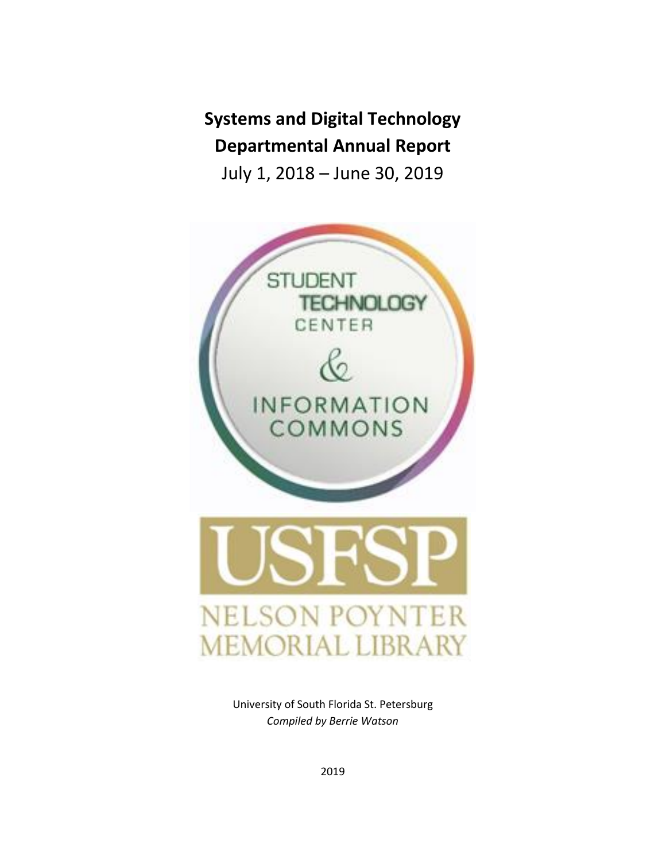# **Systems and Digital Technology Departmental Annual Report**

July 1, 2018 – June 30, 2019



University of South Florida St. Petersburg *Compiled by Berrie Watson*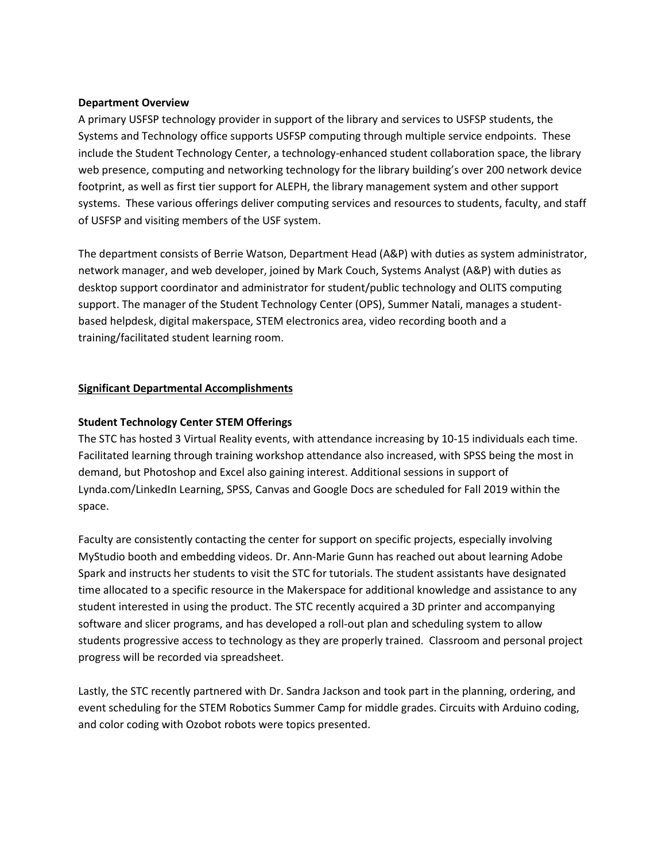## **Department Overview**

A primary USFSP technology provider in support of the library and services to USFSP students, the Systems and Technology office supports USFSP computing through multiple service endpoints. These include the Student Technology Center, a technology-enhanced student collaboration space, the library web presence, computing and networking technology for the library building's over 200 network device footprint, as well as first tier support for ALEPH, the library management system and other support systems. These various offerings deliver computing services and resources to students, faculty, and staff of USFSP and visiting members of the USF system.

The department consists of Berrie Watson, Department Head (A&P) with duties as system administrator, network manager, and web developer, joined by Mark Couch, Systems Analyst (A&P) with duties as desktop support coordinator and administrator for student/public technology and OLITS computing support. The manager of the Student Technology Center (OPS), Summer Natali, manages a studentbased helpdesk, digital makerspace, STEM electronics area, video recording booth and a training/facilitated student learning room.

## **Significant Departmental Accomplishments**

## **Student Technology Center STEM Offerings**

The STC has hosted 3 Virtual Reality events, with attendance increasing by 10-15 individuals each time. Facilitated learning through training workshop attendance also increased, with SPSS being the most in demand, but Photoshop and Excel also gaining interest. Additional sessions in support of Lynda.com/LinkedIn Learning, SPSS, Canvas and Google Docs are scheduled for Fall 2019 within the space.

Faculty are consistently contacting the center for support on specific projects, especially involving MyStudio booth and embedding videos. Dr. Ann-Marie Gunn has reached out about learning Adobe Spark and instructs her students to visit the STC for tutorials. The student assistants have designated time allocated to a specific resource in the Makerspace for additional knowledge and assistance to any student interested in using the product. The STC recently acquired a 3D printer and accompanying software and slicer programs, and has developed a roll-out plan and scheduling system to allow students progressive access to technology as they are properly trained. Classroom and personal project progress will be recorded via spreadsheet.

Lastly, the STC recently partnered with Dr. Sandra Jackson and took part in the planning, ordering, and event scheduling for the STEM Robotics Summer Camp for middle grades. Circuits with Arduino coding, and color coding with Ozobot robots were topics presented.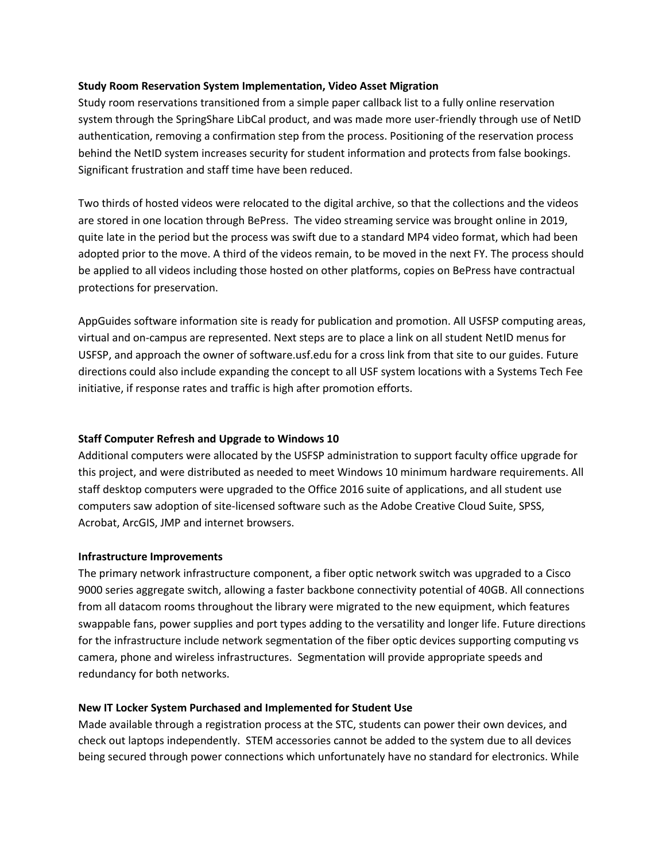## **Study Room Reservation System Implementation, Video Asset Migration**

Study room reservations transitioned from a simple paper callback list to a fully online reservation system through the SpringShare LibCal product, and was made more user-friendly through use of NetID authentication, removing a confirmation step from the process. Positioning of the reservation process behind the NetID system increases security for student information and protects from false bookings. Significant frustration and staff time have been reduced.

Two thirds of hosted videos were relocated to the digital archive, so that the collections and the videos are stored in one location through BePress. The video streaming service was brought online in 2019, quite late in the period but the process was swift due to a standard MP4 video format, which had been adopted prior to the move. A third of the videos remain, to be moved in the next FY. The process should be applied to all videos including those hosted on other platforms, copies on BePress have contractual protections for preservation.

AppGuides software information site is ready for publication and promotion. All USFSP computing areas, virtual and on-campus are represented. Next steps are to place a link on all student NetID menus for USFSP, and approach the owner of software.usf.edu for a cross link from that site to our guides. Future directions could also include expanding the concept to all USF system locations with a Systems Tech Fee initiative, if response rates and traffic is high after promotion efforts.

## **Staff Computer Refresh and Upgrade to Windows 10**

Additional computers were allocated by the USFSP administration to support faculty office upgrade for this project, and were distributed as needed to meet Windows 10 minimum hardware requirements. All staff desktop computers were upgraded to the Office 2016 suite of applications, and all student use computers saw adoption of site-licensed software such as the Adobe Creative Cloud Suite, SPSS, Acrobat, ArcGIS, JMP and internet browsers.

#### **Infrastructure Improvements**

The primary network infrastructure component, a fiber optic network switch was upgraded to a Cisco 9000 series aggregate switch, allowing a faster backbone connectivity potential of 40GB. All connections from all datacom rooms throughout the library were migrated to the new equipment, which features swappable fans, power supplies and port types adding to the versatility and longer life. Future directions for the infrastructure include network segmentation of the fiber optic devices supporting computing vs camera, phone and wireless infrastructures. Segmentation will provide appropriate speeds and redundancy for both networks.

#### **New IT Locker System Purchased and Implemented for Student Use**

Made available through a registration process at the STC, students can power their own devices, and check out laptops independently. STEM accessories cannot be added to the system due to all devices being secured through power connections which unfortunately have no standard for electronics. While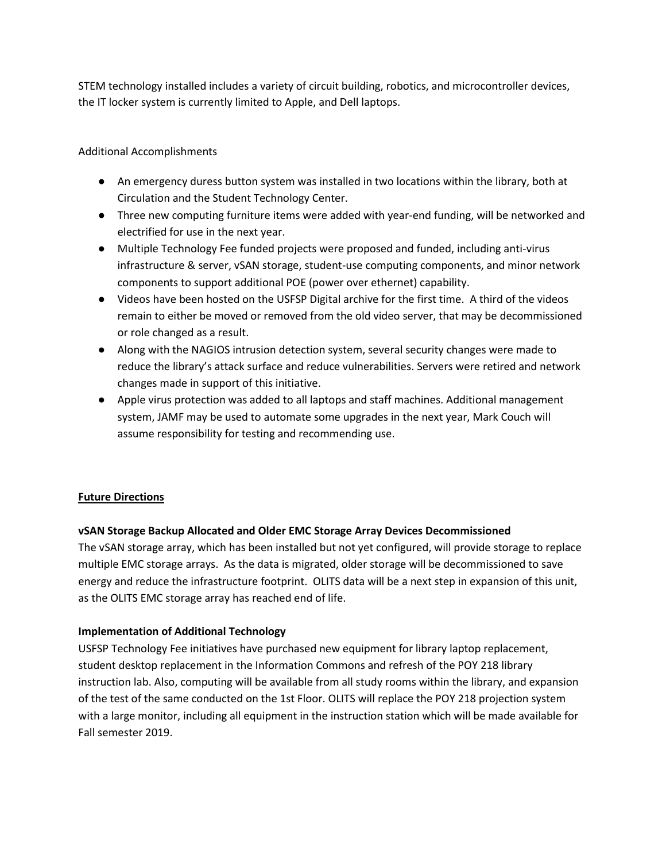STEM technology installed includes a variety of circuit building, robotics, and microcontroller devices, the IT locker system is currently limited to Apple, and Dell laptops.

Additional Accomplishments

- An emergency duress button system was installed in two locations within the library, both at Circulation and the Student Technology Center.
- Three new computing furniture items were added with year-end funding, will be networked and electrified for use in the next year.
- Multiple Technology Fee funded projects were proposed and funded, including anti-virus infrastructure & server, vSAN storage, student-use computing components, and minor network components to support additional POE (power over ethernet) capability.
- Videos have been hosted on the USFSP Digital archive for the first time. A third of the videos remain to either be moved or removed from the old video server, that may be decommissioned or role changed as a result.
- Along with the NAGIOS intrusion detection system, several security changes were made to reduce the library's attack surface and reduce vulnerabilities. Servers were retired and network changes made in support of this initiative.
- Apple virus protection was added to all laptops and staff machines. Additional management system, JAMF may be used to automate some upgrades in the next year, Mark Couch will assume responsibility for testing and recommending use.

## **Future Directions**

## **vSAN Storage Backup Allocated and Older EMC Storage Array Devices Decommissioned**

The vSAN storage array, which has been installed but not yet configured, will provide storage to replace multiple EMC storage arrays. As the data is migrated, older storage will be decommissioned to save energy and reduce the infrastructure footprint. OLITS data will be a next step in expansion of this unit, as the OLITS EMC storage array has reached end of life.

## **Implementation of Additional Technology**

USFSP Technology Fee initiatives have purchased new equipment for library laptop replacement, student desktop replacement in the Information Commons and refresh of the POY 218 library instruction lab. Also, computing will be available from all study rooms within the library, and expansion of the test of the same conducted on the 1st Floor. OLITS will replace the POY 218 projection system with a large monitor, including all equipment in the instruction station which will be made available for Fall semester 2019.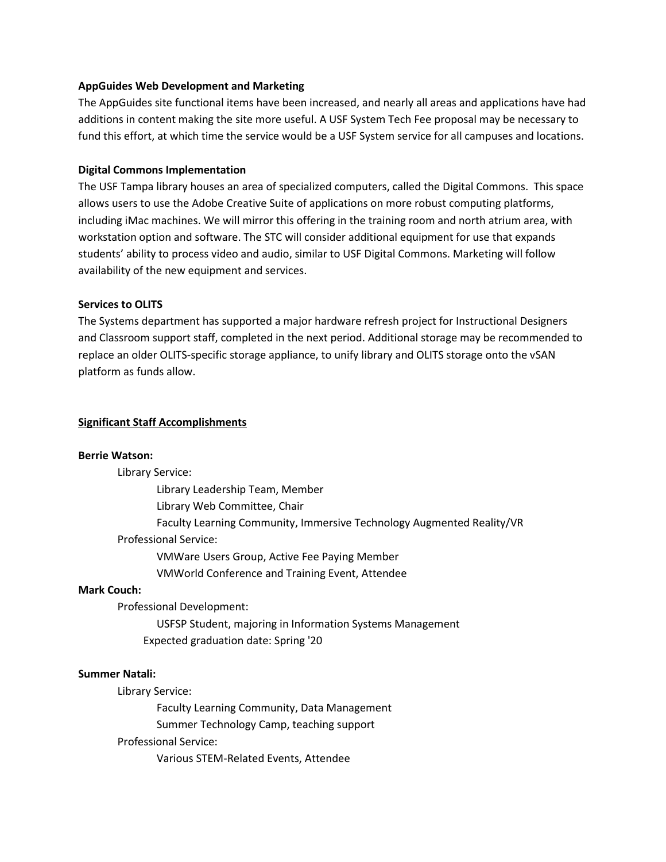### **AppGuides Web Development and Marketing**

The AppGuides site functional items have been increased, and nearly all areas and applications have had additions in content making the site more useful. A USF System Tech Fee proposal may be necessary to fund this effort, at which time the service would be a USF System service for all campuses and locations.

## **Digital Commons Implementation**

The USF Tampa library houses an area of specialized computers, called the Digital Commons. This space allows users to use the Adobe Creative Suite of applications on more robust computing platforms, including iMac machines. We will mirror this offering in the training room and north atrium area, with workstation option and software. The STC will consider additional equipment for use that expands students' ability to process video and audio, similar to USF Digital Commons. Marketing will follow availability of the new equipment and services.

## **Services to OLITS**

The Systems department has supported a major hardware refresh project for Instructional Designers and Classroom support staff, completed in the next period. Additional storage may be recommended to replace an older OLITS-specific storage appliance, to unify library and OLITS storage onto the vSAN platform as funds allow.

## **Significant Staff Accomplishments**

#### **Berrie Watson:**

Library Service:

 Library Leadership Team, Member Library Web Committee, Chair Faculty Learning Community, Immersive Technology Augmented Reality/VR Professional Service: VMWare Users Group, Active Fee Paying Member VMWorld Conference and Training Event, Attendee

#### **Mark Couch:**

Professional Development:

USFSP Student, majoring in Information Systems Management Expected graduation date: Spring '20

#### **Summer Natali:**

Library Service:

Faculty Learning Community, Data Management Summer Technology Camp, teaching support Professional Service:

Various STEM-Related Events, Attendee